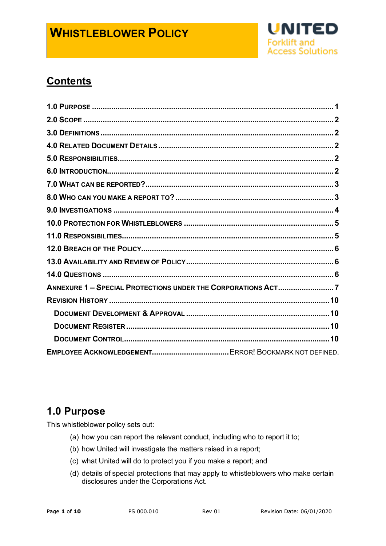# **WHISTLEBLOWER POLICY**



# **Contents**

| ANNEXURE 1 - SPECIAL PROTECTIONS UNDER THE CORPORATIONS ACT7 |  |
|--------------------------------------------------------------|--|
|                                                              |  |
|                                                              |  |
|                                                              |  |
|                                                              |  |
|                                                              |  |

# <span id="page-0-0"></span>**1.0 Purpose**

This whistleblower policy sets out:

- (a) how you can report the relevant conduct, including who to report it to;
- (b) how United will investigate the matters raised in a report;
- (c) what United will do to protect you if you make a report; and
- (d) details of special protections that may apply to whistleblowers who make certain disclosures under the Corporations Act.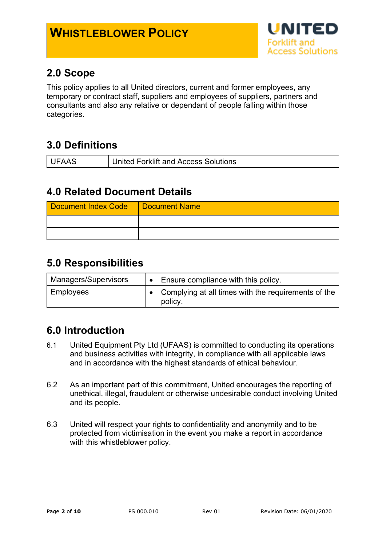

# <span id="page-1-0"></span>**2.0 Scope**

This policy applies to all United directors, current and former employees, any temporary or contract staff, suppliers and employees of suppliers, partners and consultants and also any relative or dependant of people falling within those categories.

# <span id="page-1-1"></span>**3.0 Definitions**

| United Forklift and Access Solutions |  | UFAAS |  |
|--------------------------------------|--|-------|--|
|--------------------------------------|--|-------|--|

### <span id="page-1-2"></span>**4.0 Related Document Details**

| Document Index Code   Document Name |  |
|-------------------------------------|--|
|                                     |  |
|                                     |  |

### <span id="page-1-3"></span>**5.0 Responsibilities**

| Managers/Supervisors | Ensure compliance with this policy.                            |
|----------------------|----------------------------------------------------------------|
| Employees            | Complying at all times with the requirements of the<br>policy. |

# <span id="page-1-4"></span>**6.0 Introduction**

- 6.1 United Equipment Pty Ltd (UFAAS) is committed to conducting its operations and business activities with integrity, in compliance with all applicable laws and in accordance with the highest standards of ethical behaviour.
- 6.2 As an important part of this commitment, United encourages the reporting of unethical, illegal, fraudulent or otherwise undesirable conduct involving United and its people.
- 6.3 United will respect your rights to confidentiality and anonymity and to be protected from victimisation in the event you make a report in accordance with this whistleblower policy.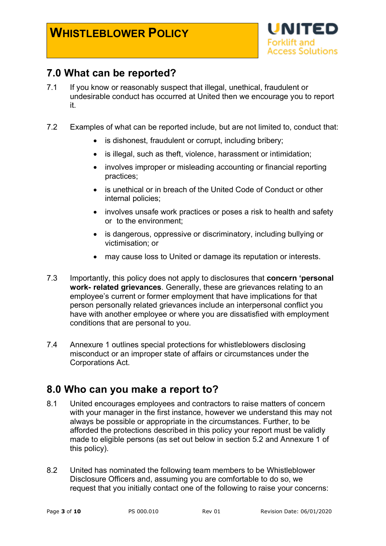

### <span id="page-2-0"></span>**7.0 What can be reported?**

- 7.1 If you know or reasonably suspect that illegal, unethical, fraudulent or undesirable conduct has occurred at United then we encourage you to report it.
- 7.2 Examples of what can be reported include, but are not limited to, conduct that:
	- is dishonest, fraudulent or corrupt, including bribery;
	- is illegal, such as theft, violence, harassment or intimidation;
	- involves improper or misleading accounting or financial reporting practices;
	- is unethical or in breach of the United Code of Conduct or other internal policies;
	- involves unsafe work practices or poses a risk to health and safety or to the environment;
	- is dangerous, oppressive or discriminatory, including bullying or victimisation; or
	- may cause loss to United or damage its reputation or interests.
- 7.3 Importantly, this policy does not apply to disclosures that **concern 'personal work- related grievances**. Generally, these are grievances relating to an employee's current or former employment that have implications for that person personally related grievances include an interpersonal conflict you have with another employee or where you are dissatisfied with employment conditions that are personal to you.
- 7.4 Annexure 1 outlines special protections for whistleblowers disclosing misconduct or an improper state of affairs or circumstances under the Corporations Act.

# <span id="page-2-1"></span>**8.0 Who can you make a report to?**

- 8.1 United encourages employees and contractors to raise matters of concern with your manager in the first instance, however we understand this may not always be possible or appropriate in the circumstances. Further, to be afforded the protections described in this policy your report must be validly made to eligible persons (as set out below in section 5.2 and Annexure 1 of this policy).
- 8.2 United has nominated the following team members to be Whistleblower Disclosure Officers and, assuming you are comfortable to do so, we request that you initially contact one of the following to raise your concerns: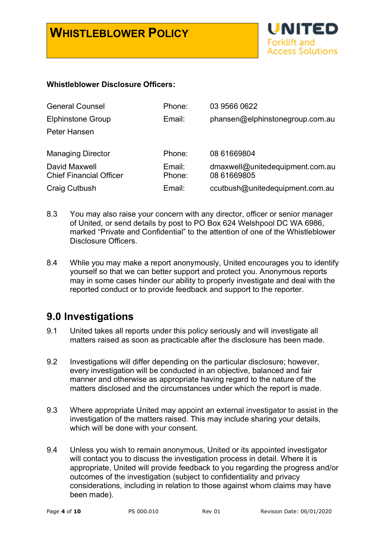

#### **Whistleblower Disclosure Officers:**

| <b>General Counsel</b>                          | Phone:           | 03 9566 0622                                   |
|-------------------------------------------------|------------------|------------------------------------------------|
| <b>Elphinstone Group</b>                        | Email:           | phansen@elphinstonegroup.com.au                |
| Peter Hansen                                    |                  |                                                |
| <b>Managing Director</b>                        | Phone:           | 08 61669804                                    |
| David Maxwell<br><b>Chief Financial Officer</b> | Email:<br>Phone: | dmaxwell@unitedequipment.com.au<br>08 61669805 |
| Craig Cutbush                                   | Email:           | ccutbush@unitedequipment.com.au                |

- 8.3 You may also raise your concern with any director, officer or senior manager of United, or send details by post to PO Box 624 Welshpool DC WA 6986, marked "Private and Confidential" to the attention of one of the Whistleblower Disclosure Officers.
- 8.4 While you may make a report anonymously, United encourages you to identify yourself so that we can better support and protect you. Anonymous reports may in some cases hinder our ability to properly investigate and deal with the reported conduct or to provide feedback and support to the reporter.

### <span id="page-3-0"></span>**9.0 Investigations**

- 9.1 United takes all reports under this policy seriously and will investigate all matters raised as soon as practicable after the disclosure has been made.
- 9.2 Investigations will differ depending on the particular disclosure; however, every investigation will be conducted in an objective, balanced and fair manner and otherwise as appropriate having regard to the nature of the matters disclosed and the circumstances under which the report is made.
- 9.3 Where appropriate United may appoint an external investigator to assist in the investigation of the matters raised. This may include sharing your details, which will be done with your consent.
- 9.4 Unless you wish to remain anonymous, United or its appointed investigator will contact you to discuss the investigation process in detail. Where it is appropriate, United will provide feedback to you regarding the progress and/or outcomes of the investigation (subject to confidentiality and privacy considerations, including in relation to those against whom claims may have been made).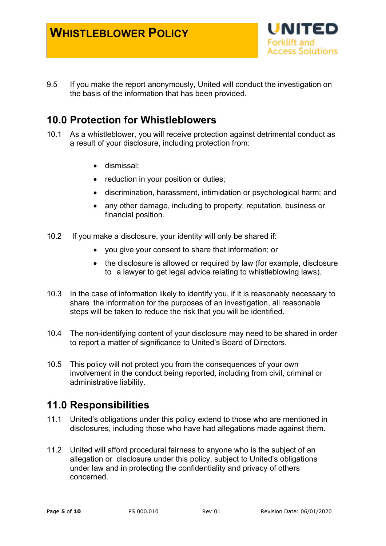

9.5 If you make the report anonymously, United will conduct the investigation on the basis of the information that has been provided.

### <span id="page-4-0"></span>**10.0 Protection for Whistleblowers**

- 10.1 As a whistleblower, you will receive protection against detrimental conduct as a result of your disclosure, including protection from:
	- dismissal;
	- reduction in your position or duties;
	- discrimination, harassment, intimidation or psychological harm; and
	- any other damage, including to property, reputation, business or financial position.
- 10.2 If you make a disclosure, your identity will only be shared if:
	- you give your consent to share that information; or
	- the disclosure is allowed or required by law (for example, disclosure to a lawyer to get legal advice relating to whistleblowing laws).
- 10.3 In the case of information likely to identify you, if it is reasonably necessary to share the information for the purposes of an investigation, all reasonable steps will be taken to reduce the risk that you will be identified.
- 10.4 The non-identifying content of your disclosure may need to be shared in order to report a matter of significance to United's Board of Directors.
- 10.5 This policy will not protect you from the consequences of your own involvement in the conduct being reported, including from civil, criminal or administrative liability.

### <span id="page-4-1"></span>**11.0 Responsibilities**

- 11.1 United's obligations under this policy extend to those who are mentioned in disclosures, including those who have had allegations made against them.
- 11.2 United will afford procedural fairness to anyone who is the subject of an allegation or disclosure under this policy, subject to United's obligations under law and in protecting the confidentiality and privacy of others concerned.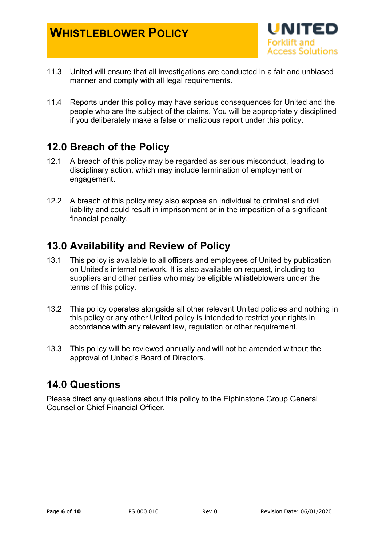

- 11.3 United will ensure that all investigations are conducted in a fair and unbiased manner and comply with all legal requirements.
- 11.4 Reports under this policy may have serious consequences for United and the people who are the subject of the claims. You will be appropriately disciplined if you deliberately make a false or malicious report under this policy.

### <span id="page-5-0"></span>**12.0 Breach of the Policy**

- 12.1 A breach of this policy may be regarded as serious misconduct, leading to disciplinary action, which may include termination of employment or engagement.
- 12.2 A breach of this policy may also expose an individual to criminal and civil liability and could result in imprisonment or in the imposition of a significant financial penalty.

### <span id="page-5-1"></span>**13.0 Availability and Review of Policy**

- 13.1 This policy is available to all officers and employees of United by publication on United's internal network. It is also available on request, including to suppliers and other parties who may be eligible whistleblowers under the terms of this policy.
- 13.2 This policy operates alongside all other relevant United policies and nothing in this policy or any other United policy is intended to restrict your rights in accordance with any relevant law, regulation or other requirement.
- 13.3 This policy will be reviewed annually and will not be amended without the approval of United's Board of Directors.

# <span id="page-5-2"></span>**14.0 Questions**

Please direct any questions about this policy to the Elphinstone Group General Counsel or Chief Financial Officer.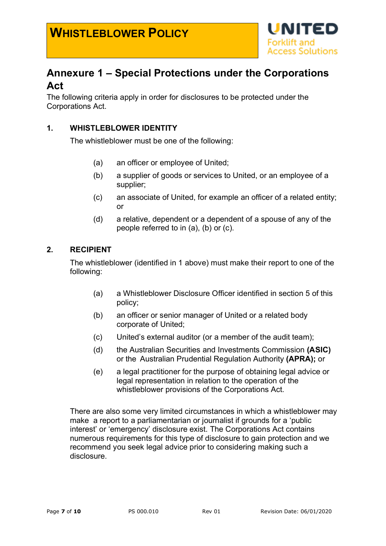

# <span id="page-6-0"></span>**Annexure 1 – Special Protections under the Corporations Act**

The following criteria apply in order for disclosures to be protected under the Corporations Act.

#### **1. WHISTLEBLOWER IDENTITY**

The whistleblower must be one of the following:

- (a) an officer or employee of United;
- (b) a supplier of goods or services to United, or an employee of a supplier;
- (c) an associate of United, for example an officer of a related entity; or
- (d) a relative, dependent or a dependent of a spouse of any of the people referred to in (a), (b) or (c).

#### **2. RECIPIENT**

The whistleblower (identified in 1 above) must make their report to one of the following:

- (a) a Whistleblower Disclosure Officer identified in section 5 of this policy;
- (b) an officer or senior manager of United or a related body corporate of United;
- (c) United's external auditor (or a member of the audit team);
- (d) the Australian Securities and Investments Commission **(ASIC)** or the Australian Prudential Regulation Authority **(APRA);** or
- (e) a legal practitioner for the purpose of obtaining legal advice or legal representation in relation to the operation of the whistleblower provisions of the Corporations Act.

There are also some very limited circumstances in which a whistleblower may make a report to a parliamentarian or journalist if grounds for a 'public interest' or 'emergency' disclosure exist. The Corporations Act contains numerous requirements for this type of disclosure to gain protection and we recommend you seek legal advice prior to considering making such a disclosure.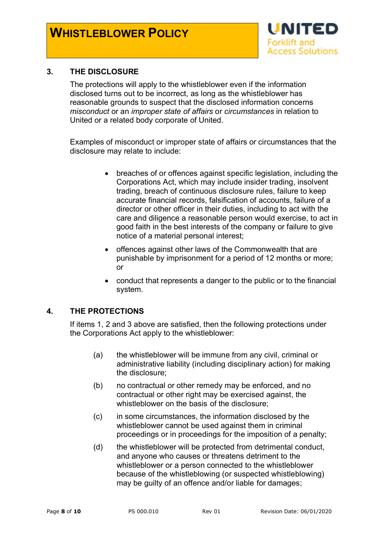

#### **3. THE DISCLOSURE**

The protections will apply to the whistleblower even if the information disclosed turns out to be incorrect, as long as the whistleblower has reasonable grounds to suspect that the disclosed information concerns *misconduct* or an *improper state of affairs* or *circumstances* in relation to United or a related body corporate of United.

Examples of misconduct or improper state of affairs or circumstances that the disclosure may relate to include:

- breaches of or offences against specific legislation, including the Corporations Act, which may include insider trading, insolvent trading, breach of continuous disclosure rules, failure to keep accurate financial records, falsification of accounts, failure of a director or other officer in their duties, including to act with the care and diligence a reasonable person would exercise, to act in good faith in the best interests of the company or failure to give notice of a material personal interest;
- offences against other laws of the Commonwealth that are punishable by imprisonment for a period of 12 months or more; or
- conduct that represents a danger to the public or to the financial system.

#### **4. THE PROTECTIONS**

If items 1, 2 and 3 above are satisfied, then the following protections under the Corporations Act apply to the whistleblower:

- (a) the whistleblower will be immune from any civil, criminal or administrative liability (including disciplinary action) for making the disclosure;
- (b) no contractual or other remedy may be enforced, and no contractual or other right may be exercised against, the whistleblower on the basis of the disclosure;
- (c) in some circumstances, the information disclosed by the whistleblower cannot be used against them in criminal proceedings or in proceedings for the imposition of a penalty;
- (d) the whistleblower will be protected from detrimental conduct, and anyone who causes or threatens detriment to the whistleblower or a person connected to the whistleblower because of the whistleblowing (or suspected whistleblowing) may be guilty of an offence and/or liable for damages;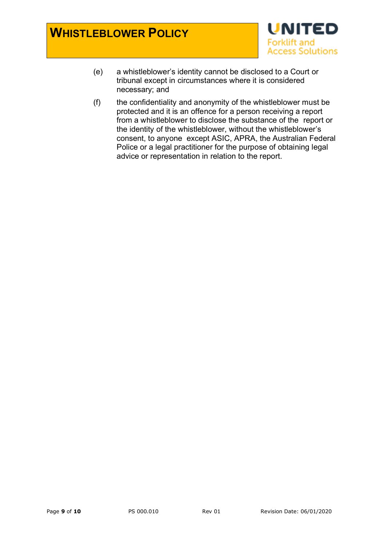# **WHISTLEBLOWER POLICY**



- (e) a whistleblower's identity cannot be disclosed to a Court or tribunal except in circumstances where it is considered necessary; and
- (f) the confidentiality and anonymity of the whistleblower must be protected and it is an offence for a person receiving a report from a whistleblower to disclose the substance of the report or the identity of the whistleblower, without the whistleblower's consent, to anyone except ASIC, APRA, the Australian Federal Police or a legal practitioner for the purpose of obtaining legal advice or representation in relation to the report.